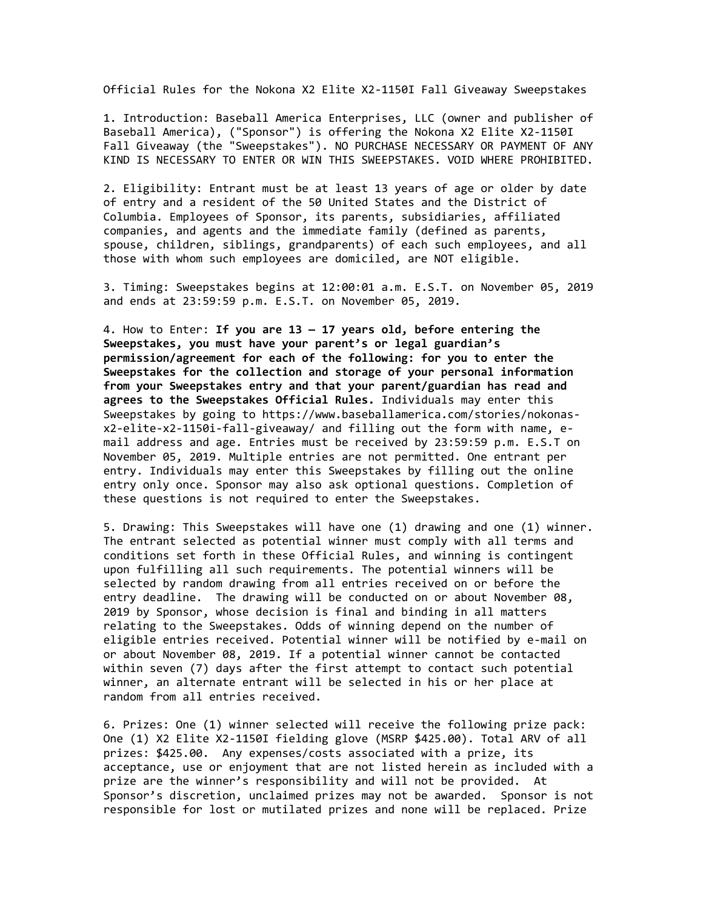Official Rules for the Nokona X2 Elite X2-1150I Fall Giveaway Sweepstakes

1. Introduction: Baseball America Enterprises, LLC (owner and publisher of Baseball America), ("Sponsor") is offering the Nokona X2 Elite X2-1150I Fall Giveaway (the "Sweepstakes"). NO PURCHASE NECESSARY OR PAYMENT OF ANY KIND IS NECESSARY TO ENTER OR WIN THIS SWEEPSTAKES. VOID WHERE PROHIBITED.

2. Eligibility: Entrant must be at least 13 years of age or older by date of entry and a resident of the 50 United States and the District of Columbia. Employees of Sponsor, its parents, subsidiaries, affiliated companies, and agents and the immediate family (defined as parents, spouse, children, siblings, grandparents) of each such employees, and all those with whom such employees are domiciled, are NOT eligible.

3. Timing: Sweepstakes begins at 12:00:01 a.m. E.S.T. on November 05, 2019 and ends at 23:59:59 p.m. E.S.T. on November 05, 2019.

4. How to Enter: **If you are 13 — 17 years old, before entering the Sweepstakes, you must have your parent's or legal guardian's permission/agreement for each of the following: for you to enter the Sweepstakes for the collection and storage of your personal information from your Sweepstakes entry and that your parent/guardian has read and agrees to the Sweepstakes Official Rules.** Individuals may enter this Sweepstakes by going to https://www.baseballamerica.com/stories/nokonasx2-elite-x2-1150i-fall-giveaway/ and filling out the form with name, email address and age. Entries must be received by 23:59:59 p.m. E.S.T on November 05, 2019. Multiple entries are not permitted. One entrant per entry. Individuals may enter this Sweepstakes by filling out the online entry only once. Sponsor may also ask optional questions. Completion of these questions is not required to enter the Sweepstakes.

5. Drawing: This Sweepstakes will have one (1) drawing and one (1) winner. The entrant selected as potential winner must comply with all terms and conditions set forth in these Official Rules, and winning is contingent upon fulfilling all such requirements. The potential winners will be selected by random drawing from all entries received on or before the entry deadline. The drawing will be conducted on or about November 08, 2019 by Sponsor, whose decision is final and binding in all matters relating to the Sweepstakes. Odds of winning depend on the number of eligible entries received. Potential winner will be notified by e-mail on or about November 08, 2019. If a potential winner cannot be contacted within seven (7) days after the first attempt to contact such potential winner, an alternate entrant will be selected in his or her place at random from all entries received.

6. Prizes: One (1) winner selected will receive the following prize pack: One (1) X2 Elite X2-1150I fielding glove (MSRP \$425.00). Total ARV of all prizes: \$425.00. Any expenses/costs associated with a prize, its acceptance, use or enjoyment that are not listed herein as included with a prize are the winner's responsibility and will not be provided. At Sponsor's discretion, unclaimed prizes may not be awarded. Sponsor is not responsible for lost or mutilated prizes and none will be replaced. Prize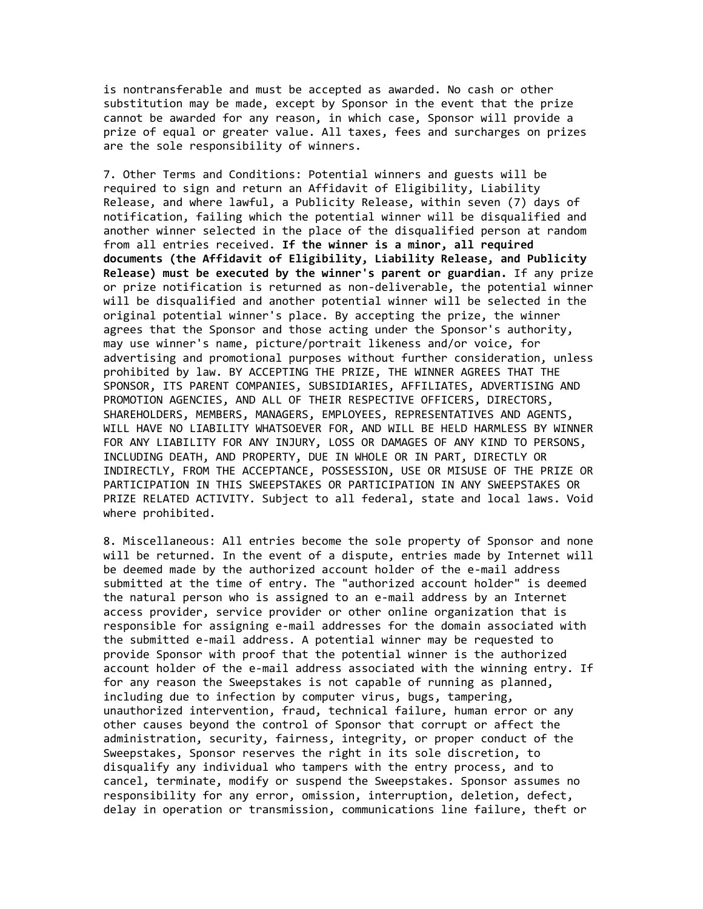is nontransferable and must be accepted as awarded. No cash or other substitution may be made, except by Sponsor in the event that the prize cannot be awarded for any reason, in which case, Sponsor will provide a prize of equal or greater value. All taxes, fees and surcharges on prizes are the sole responsibility of winners.

7. Other Terms and Conditions: Potential winners and guests will be required to sign and return an Affidavit of Eligibility, Liability Release, and where lawful, a Publicity Release, within seven (7) days of notification, failing which the potential winner will be disqualified and another winner selected in the place of the disqualified person at random from all entries received. **If the winner is a minor, all required documents (the Affidavit of Eligibility, Liability Release, and Publicity Release) must be executed by the winner's parent or guardian.** If any prize or prize notification is returned as non-deliverable, the potential winner will be disqualified and another potential winner will be selected in the original potential winner's place. By accepting the prize, the winner agrees that the Sponsor and those acting under the Sponsor's authority, may use winner's name, picture/portrait likeness and/or voice, for advertising and promotional purposes without further consideration, unless prohibited by law. BY ACCEPTING THE PRIZE, THE WINNER AGREES THAT THE SPONSOR, ITS PARENT COMPANIES, SUBSIDIARIES, AFFILIATES, ADVERTISING AND PROMOTION AGENCIES, AND ALL OF THEIR RESPECTIVE OFFICERS, DIRECTORS, SHAREHOLDERS, MEMBERS, MANAGERS, EMPLOYEES, REPRESENTATIVES AND AGENTS, WILL HAVE NO LIABILITY WHATSOEVER FOR, AND WILL BE HELD HARMLESS BY WINNER FOR ANY LIABILITY FOR ANY INJURY, LOSS OR DAMAGES OF ANY KIND TO PERSONS, INCLUDING DEATH, AND PROPERTY, DUE IN WHOLE OR IN PART, DIRECTLY OR INDIRECTLY, FROM THE ACCEPTANCE, POSSESSION, USE OR MISUSE OF THE PRIZE OR PARTICIPATION IN THIS SWEEPSTAKES OR PARTICIPATION IN ANY SWEEPSTAKES OR PRIZE RELATED ACTIVITY. Subject to all federal, state and local laws. Void where prohibited.

8. Miscellaneous: All entries become the sole property of Sponsor and none will be returned. In the event of a dispute, entries made by Internet will be deemed made by the authorized account holder of the e-mail address submitted at the time of entry. The "authorized account holder" is deemed the natural person who is assigned to an e-mail address by an Internet access provider, service provider or other online organization that is responsible for assigning e-mail addresses for the domain associated with the submitted e-mail address. A potential winner may be requested to provide Sponsor with proof that the potential winner is the authorized account holder of the e-mail address associated with the winning entry. If for any reason the Sweepstakes is not capable of running as planned, including due to infection by computer virus, bugs, tampering, unauthorized intervention, fraud, technical failure, human error or any other causes beyond the control of Sponsor that corrupt or affect the administration, security, fairness, integrity, or proper conduct of the Sweepstakes, Sponsor reserves the right in its sole discretion, to disqualify any individual who tampers with the entry process, and to cancel, terminate, modify or suspend the Sweepstakes. Sponsor assumes no responsibility for any error, omission, interruption, deletion, defect, delay in operation or transmission, communications line failure, theft or